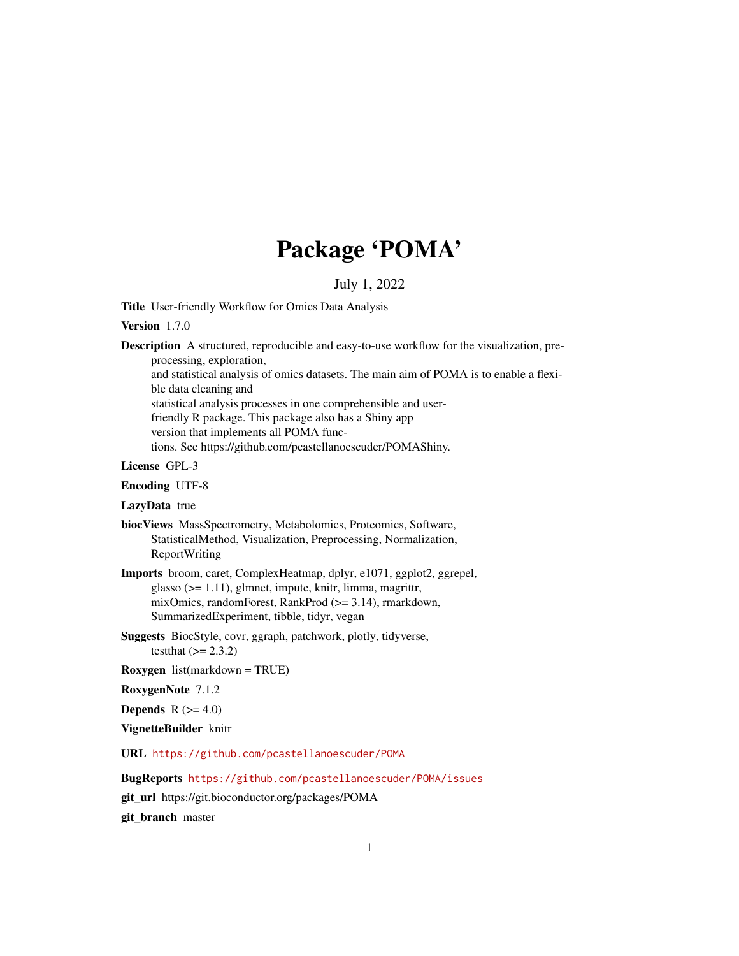# Package 'POMA'

#### July 1, 2022

Title User-friendly Workflow for Omics Data Analysis

#### Version 1.7.0

Description A structured, reproducible and easy-to-use workflow for the visualization, preprocessing, exploration,

and statistical analysis of omics datasets. The main aim of POMA is to enable a flexible data cleaning and

statistical analysis processes in one comprehensible and userfriendly R package. This package also has a Shiny app

version that implements all POMA func-

tions. See https://github.com/pcastellanoescuder/POMAShiny.

#### License GPL-3

Encoding UTF-8

#### LazyData true

biocViews MassSpectrometry, Metabolomics, Proteomics, Software, StatisticalMethod, Visualization, Preprocessing, Normalization, ReportWriting

- Imports broom, caret, ComplexHeatmap, dplyr, e1071, ggplot2, ggrepel, glasso (>= 1.11), glmnet, impute, knitr, limma, magrittr, mixOmics, randomForest, RankProd (>= 3.14), rmarkdown, SummarizedExperiment, tibble, tidyr, vegan
- Suggests BiocStyle, covr, ggraph, patchwork, plotly, tidyverse, testthat  $(>= 2.3.2)$
- Roxygen list(markdown = TRUE)

RoxygenNote 7.1.2

Depends  $R$  ( $>= 4.0$ )

VignetteBuilder knitr

URL <https://github.com/pcastellanoescuder/POMA>

BugReports <https://github.com/pcastellanoescuder/POMA/issues>

git\_url https://git.bioconductor.org/packages/POMA

git\_branch master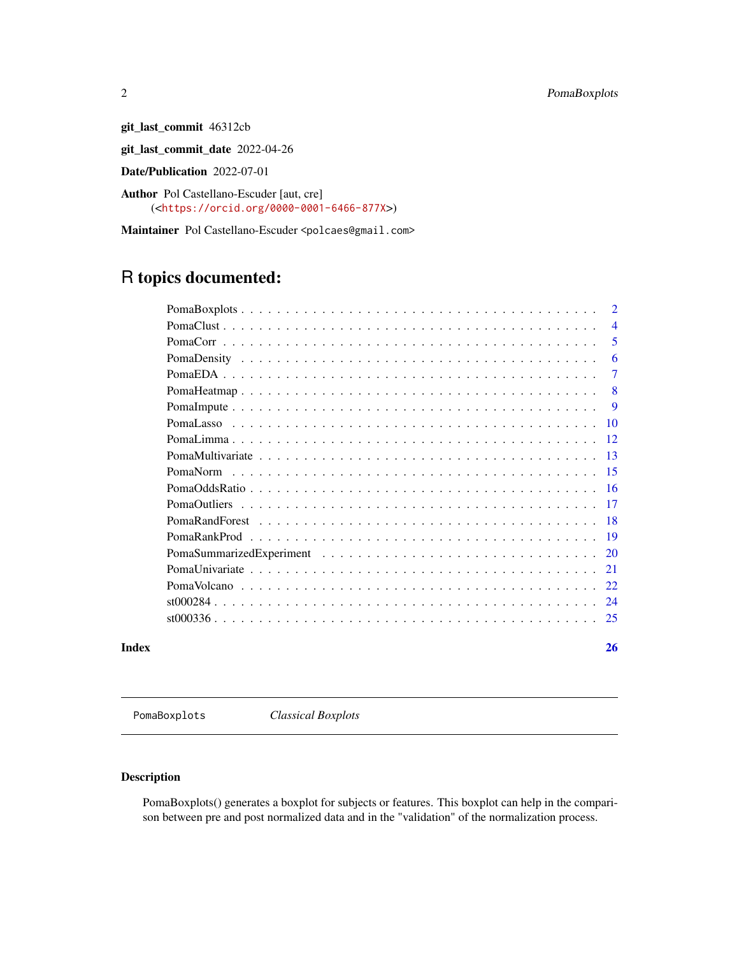git\_last\_commit 46312cb

git\_last\_commit\_date 2022-04-26

Date/Publication 2022-07-01

Author Pol Castellano-Escuder [aut, cre] (<<https://orcid.org/0000-0001-6466-877X>>)

Maintainer Pol Castellano-Escuder <polcaes@gmail.com>

## R topics documented:

|       |          | $\overline{2}$ |
|-------|----------|----------------|
|       |          | $\overline{4}$ |
|       |          | 5              |
|       |          | 6              |
|       |          | $\overline{7}$ |
|       |          | 8              |
|       |          | <b>q</b>       |
|       |          | -10            |
|       |          | 12             |
|       |          | -13            |
|       | PomaNorm | 15             |
|       |          | -16            |
|       |          | -17            |
|       |          | -18            |
|       |          | -19            |
|       |          | 20             |
|       |          | 21             |
|       |          | 22             |
|       |          | 24             |
|       |          | 25             |
| Index |          | 26             |

PomaBoxplots *Classical Boxplots*

#### Description

PomaBoxplots() generates a boxplot for subjects or features. This boxplot can help in the comparison between pre and post normalized data and in the "validation" of the normalization process.

<span id="page-1-0"></span>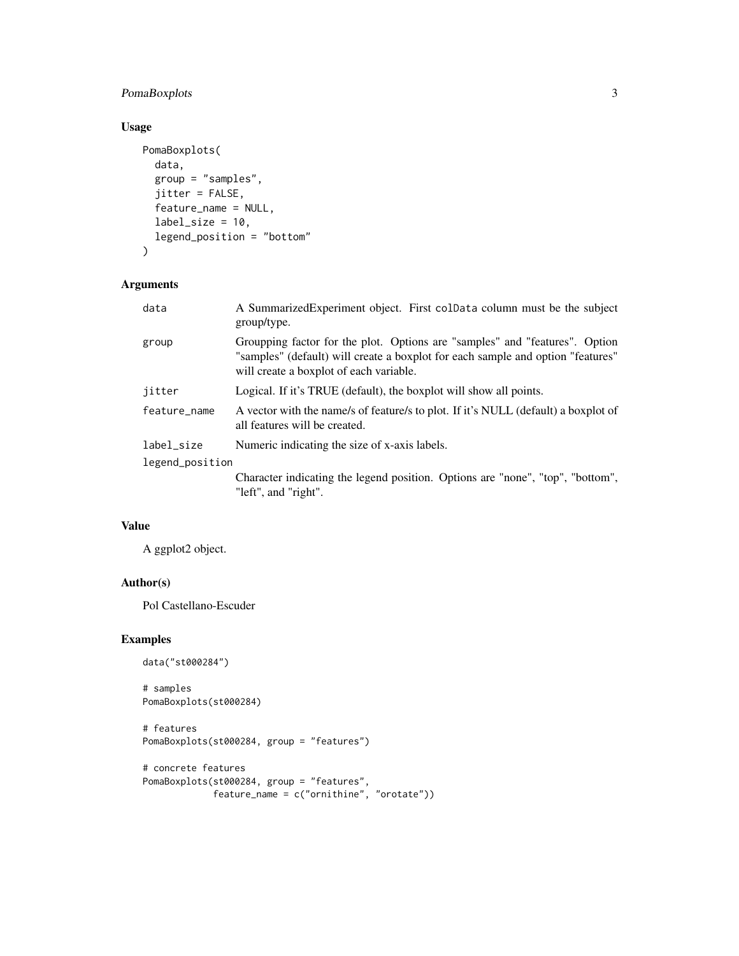#### PomaBoxplots 3

#### Usage

```
PomaBoxplots(
  data,
  group = "samples",
  jitter = FALSE,
 feature_name = NULL,
 label\_size = 10,legend_position = "bottom"
)
```
#### Arguments

| data            | A SummarizedExperiment object. First colData column must be the subject<br>group/type.                                                                                                                    |
|-----------------|-----------------------------------------------------------------------------------------------------------------------------------------------------------------------------------------------------------|
| group           | Groupping factor for the plot. Options are "samples" and "features". Option<br>"samples" (default) will create a boxplot for each sample and option "features"<br>will create a boxplot of each variable. |
| jitter          | Logical. If it's TRUE (default), the boxplot will show all points.                                                                                                                                        |
| feature_name    | A vector with the name/s of feature/s to plot. If it's NULL (default) a boxplot of<br>all features will be created.                                                                                       |
| label_size      | Numeric indicating the size of x-axis labels.                                                                                                                                                             |
| legend_position |                                                                                                                                                                                                           |
|                 | Character indicating the legend position. Options are "none", "top", "bottom",<br>"left", and "right".                                                                                                    |

#### Value

A ggplot2 object.

#### Author(s)

Pol Castellano-Escuder

#### Examples

```
data("st000284")
```

```
# samples
PomaBoxplots(st000284)
```

```
# features
PomaBoxplots(st000284, group = "features")
```

```
# concrete features
PomaBoxplots(st000284, group = "features",
             feature_name = c("ornithine", "orotate"))
```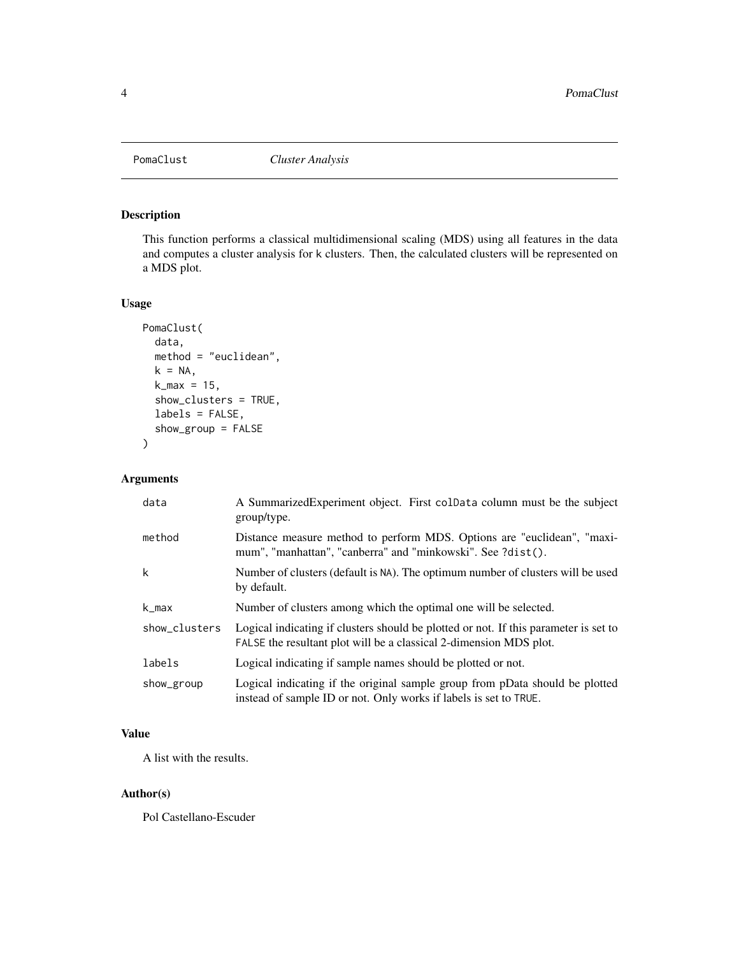<span id="page-3-0"></span>

#### Description

This function performs a classical multidimensional scaling (MDS) using all features in the data and computes a cluster analysis for k clusters. Then, the calculated clusters will be represented on a MDS plot.

#### Usage

```
PomaClust(
  data,
  method = "euclidean",
 k = NA,
  k_max = 15,
  show_clusters = TRUE,
  labels = FALSE,
  show_group = FALSE
)
```
#### Arguments

| data          | A Summarized Experiment object. First coldata column must be the subject<br>group/type.                                                                    |
|---------------|------------------------------------------------------------------------------------------------------------------------------------------------------------|
| method        | Distance measure method to perform MDS. Options are "euclidean", "maxi-<br>mum", "manhattan", "canberra" and "minkowski". See ?dist().                     |
| k             | Number of clusters (default is NA). The optimum number of clusters will be used<br>by default.                                                             |
| k_max         | Number of clusters among which the optimal one will be selected.                                                                                           |
| show_clusters | Logical indicating if clusters should be plotted or not. If this parameter is set to<br>FALSE the resultant plot will be a classical 2-dimension MDS plot. |
| labels        | Logical indicating if sample names should be plotted or not.                                                                                               |
| show_group    | Logical indicating if the original sample group from pData should be plotted<br>instead of sample ID or not. Only works if labels is set to TRUE.          |

#### Value

A list with the results.

#### Author(s)

Pol Castellano-Escuder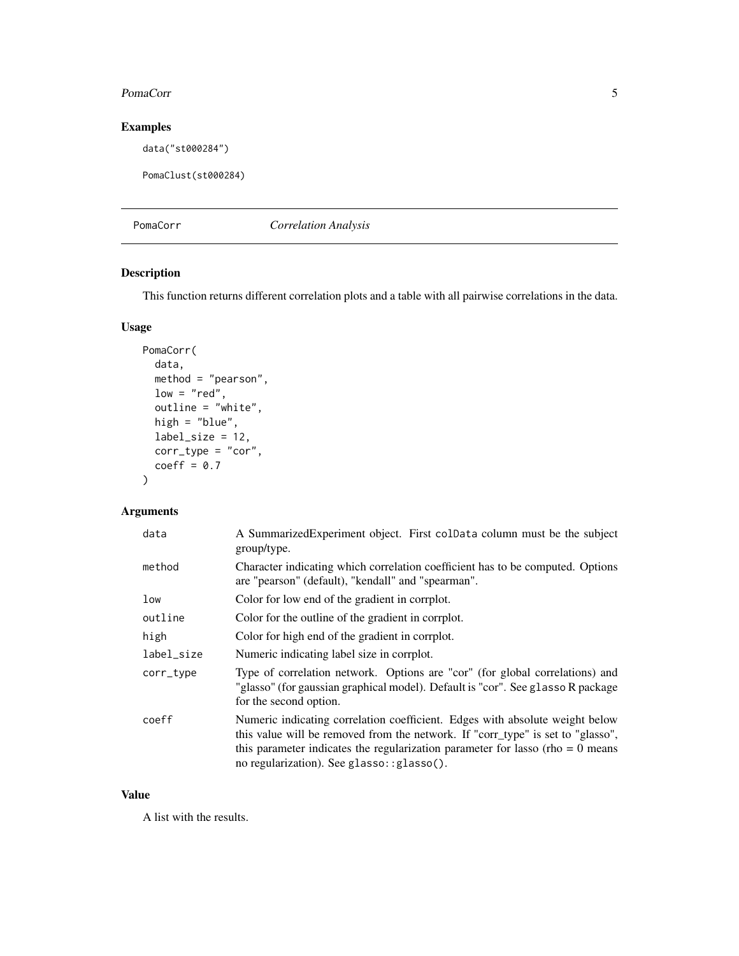#### <span id="page-4-0"></span>PomaCorr 5

#### Examples

data("st000284")

```
PomaClust(st000284)
```
PomaCorr *Correlation Analysis*

#### Description

This function returns different correlation plots and a table with all pairwise correlations in the data.

#### Usage

```
PomaCorr(
 data,
 method = "pearson",
 low = "red",outline = "white",
 high = "blue",
 label_size = 12,
 corr_type = "cor",
 coeff = 0.7)
```
#### Arguments

| data       | A SummarizedExperiment object. First colData column must be the subject<br>group/type.                                                                                                                                                                                                             |
|------------|----------------------------------------------------------------------------------------------------------------------------------------------------------------------------------------------------------------------------------------------------------------------------------------------------|
| method     | Character indicating which correlation coefficient has to be computed. Options<br>are "pearson" (default), "kendall" and "spearman".                                                                                                                                                               |
| low        | Color for low end of the gradient in corrplot.                                                                                                                                                                                                                                                     |
| outline    | Color for the outline of the gradient in corrplot.                                                                                                                                                                                                                                                 |
| high       | Color for high end of the gradient in corrplot.                                                                                                                                                                                                                                                    |
| label_size | Numeric indicating label size in corrplot.                                                                                                                                                                                                                                                         |
| corr_type  | Type of correlation network. Options are "cor" (for global correlations) and<br>"glasso" (for gaussian graphical model). Default is "cor". See glasso R package<br>for the second option.                                                                                                          |
| coeff      | Numeric indicating correlation coefficient. Edges with absolute weight below<br>this value will be removed from the network. If "corr_type" is set to "glasso",<br>this parameter indicates the regularization parameter for lasso (rho = $0$ means<br>no regularization). See glasso: : glasso(). |

#### Value

A list with the results.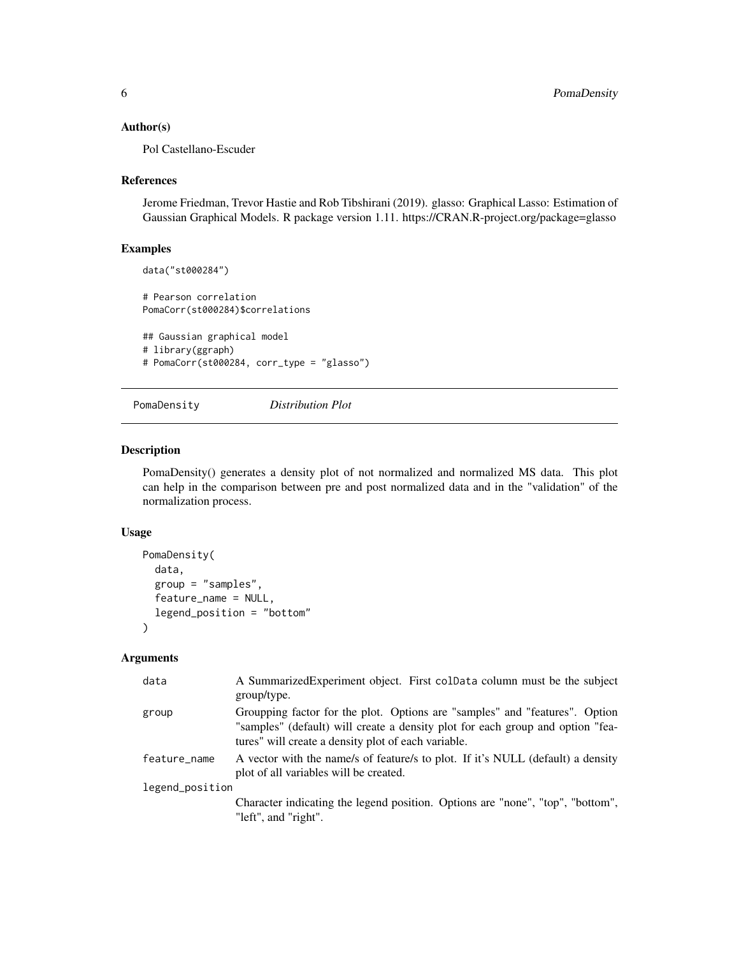#### <span id="page-5-0"></span>Author(s)

Pol Castellano-Escuder

#### References

Jerome Friedman, Trevor Hastie and Rob Tibshirani (2019). glasso: Graphical Lasso: Estimation of Gaussian Graphical Models. R package version 1.11. https://CRAN.R-project.org/package=glasso

#### Examples

```
data("st000284")
# Pearson correlation
PomaCorr(st000284)$correlations
## Gaussian graphical model
# library(ggraph)
# PomaCorr(st000284, corr_type = "glasso")
```
PomaDensity *Distribution Plot*

### Description

PomaDensity() generates a density plot of not normalized and normalized MS data. This plot can help in the comparison between pre and post normalized data and in the "validation" of the normalization process.

#### Usage

```
PomaDensity(
  data,
  group = "samples",
  feature_name = NULL,
  legend_position = "bottom"
\lambda
```

| data            | A Summarized Experiment object. First colData column must be the subject<br>group/type.                |
|-----------------|--------------------------------------------------------------------------------------------------------|
|                 |                                                                                                        |
| group           | Groupping factor for the plot. Options are "samples" and "features". Option                            |
|                 | "samples" (default) will create a density plot for each group and option "fea-                         |
|                 | tures" will create a density plot of each variable.                                                    |
| feature_name    | A vector with the name/s of feature/s to plot. If it's NULL (default) a density                        |
|                 | plot of all variables will be created.                                                                 |
| legend_position |                                                                                                        |
|                 | Character indicating the legend position. Options are "none", "top", "bottom",<br>"left", and "right". |
|                 |                                                                                                        |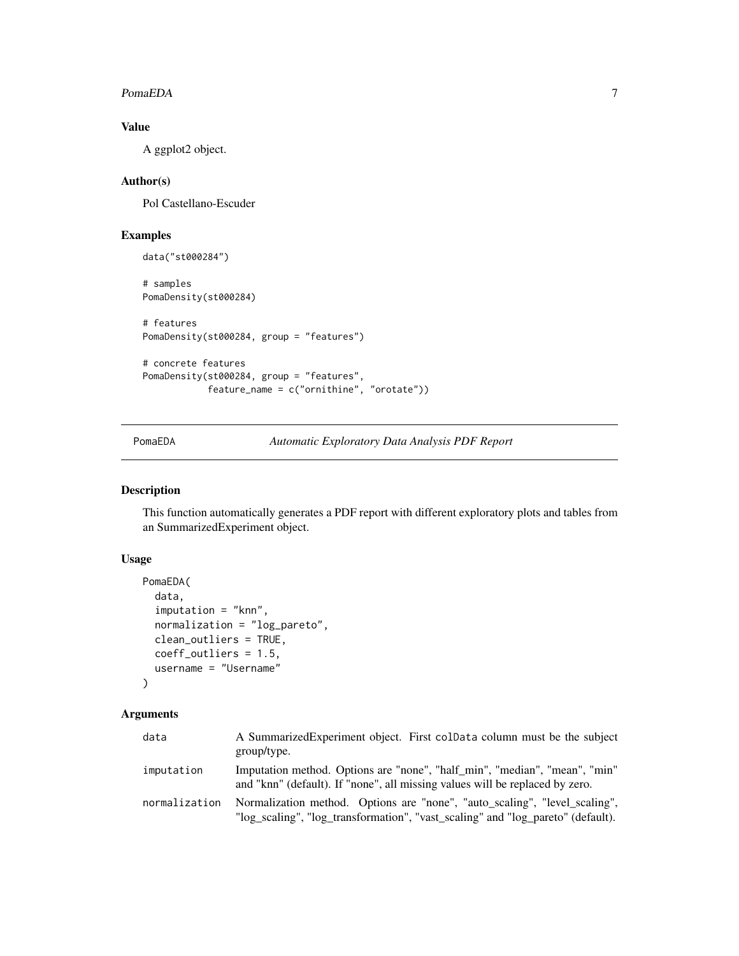#### <span id="page-6-0"></span>PomaEDA 7

#### Value

A ggplot2 object.

#### Author(s)

Pol Castellano-Escuder

#### Examples

```
data("st000284")
# samples
PomaDensity(st000284)
# features
PomaDensity(st000284, group = "features")
# concrete features
PomaDensity(st000284, group = "features",
            feature_name = c("ornithine", "orotate"))
```
PomaEDA *Automatic Exploratory Data Analysis PDF Report*

#### Description

This function automatically generates a PDF report with different exploratory plots and tables from an SummarizedExperiment object.

#### Usage

```
PomaEDA(
  data,
  imputation = "knn",
  normalization = "log_pareto",
  clean_outliers = TRUE,
  coeff_outliers = 1.5,
  username = "Username"
)
```

| data          | A Summarized Experiment object. First coldata column must be the subject<br>group/type.                                                                       |
|---------------|---------------------------------------------------------------------------------------------------------------------------------------------------------------|
| imputation    | Imputation method. Options are "none", "half_min", "median", "mean", "min"<br>and "knn" (default). If "none", all missing values will be replaced by zero.    |
| normalization | Normalization method. Options are "none", "auto_scaling", "level_scaling",<br>"log_scaling", "log_transformation", "vast_scaling" and "log_pareto" (default). |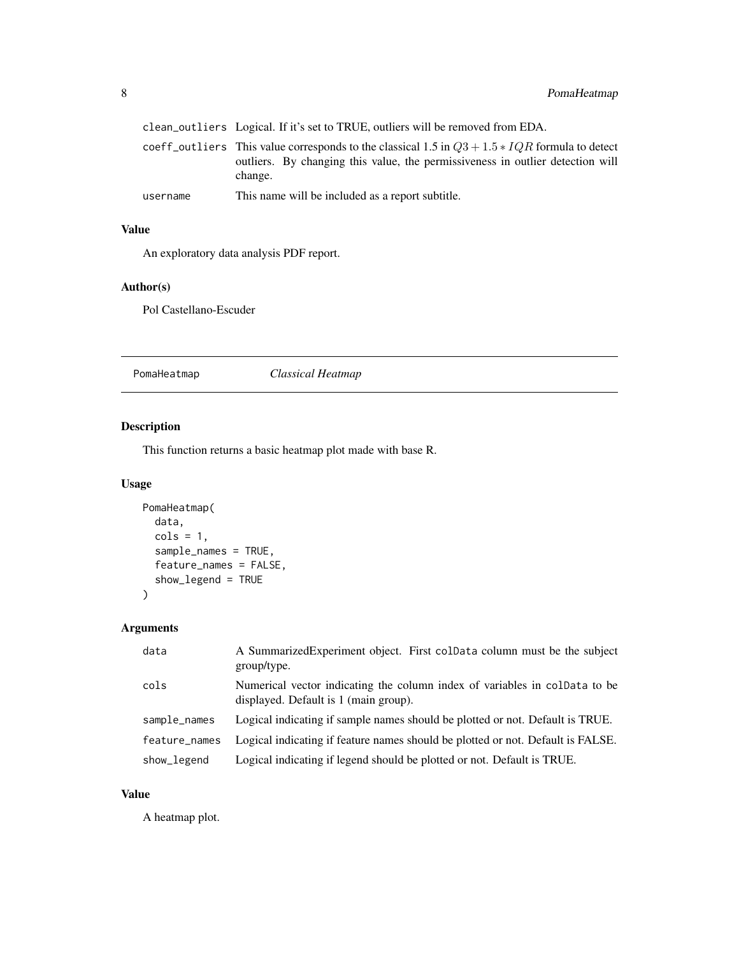<span id="page-7-0"></span>

|          | clean_outliers Logical. If it's set to TRUE, outliers will be removed from EDA.                                                                                                               |
|----------|-----------------------------------------------------------------------------------------------------------------------------------------------------------------------------------------------|
|          | coeff outliers This value corresponds to the classical 1.5 in $Q3 + 1.5 * IQR$ formula to detect<br>outliers. By changing this value, the permissiveness in outlier detection will<br>change. |
| username | This name will be included as a report subtitle.                                                                                                                                              |

#### Value

An exploratory data analysis PDF report.

#### Author(s)

Pol Castellano-Escuder

PomaHeatmap *Classical Heatmap*

#### Description

This function returns a basic heatmap plot made with base R.

#### Usage

```
PomaHeatmap(
  data,
 cols = 1,
  sample_names = TRUE,
 feature_names = FALSE,
  show_legend = TRUE
)
```
#### Arguments

| data          | A SummarizedExperiment object. First colData column must be the subject<br>group/type.                              |
|---------------|---------------------------------------------------------------------------------------------------------------------|
| cols          | Numerical vector indicating the column index of variables in coldata to be<br>displayed. Default is 1 (main group). |
| sample_names  | Logical indicating if sample names should be plotted or not. Default is TRUE.                                       |
| feature names | Logical indicating if feature names should be plotted or not. Default is FALSE.                                     |
| show_legend   | Logical indicating if legend should be plotted or not. Default is TRUE.                                             |

#### Value

A heatmap plot.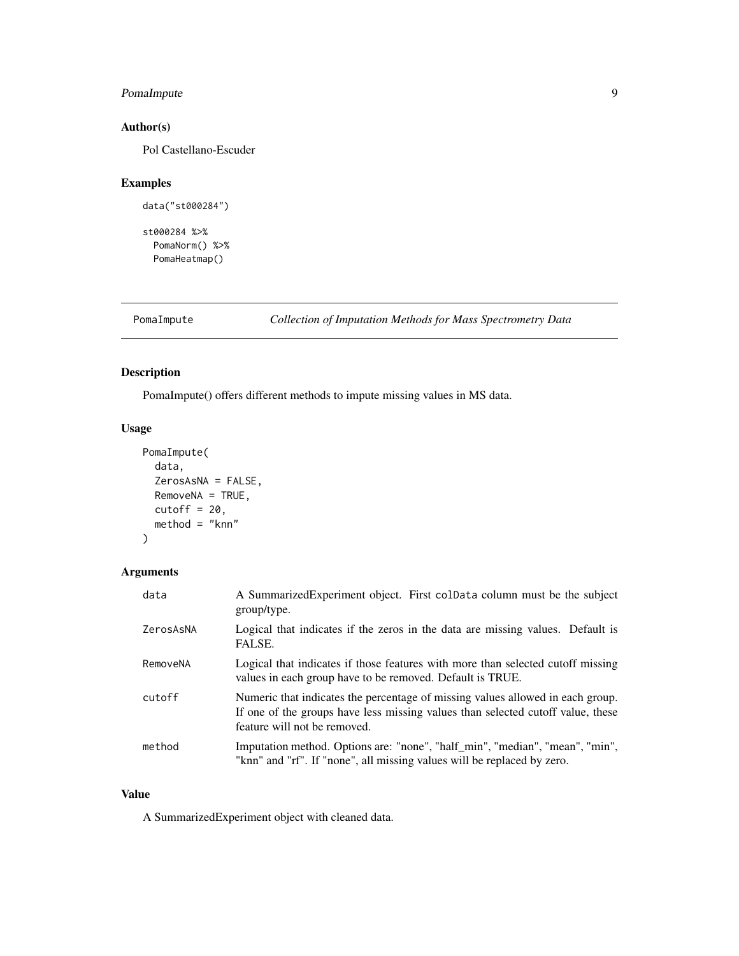#### <span id="page-8-0"></span>PomaImpute 9

#### Author(s)

Pol Castellano-Escuder

#### Examples

```
data("st000284")
```
st000284 %>% PomaNorm() %>% PomaHeatmap()

PomaImpute *Collection of Imputation Methods for Mass Spectrometry Data*

#### Description

PomaImpute() offers different methods to impute missing values in MS data.

#### Usage

```
PomaImpute(
  data,
  ZerosAsNA = FALSE,
  RemoveNA = TRUE,
  cutoff = 20,method = "knn"
\mathcal{L}
```
#### Arguments

| data      | A SummarizedExperiment object. First colData column must be the subject<br>group/type.                                                                                                            |
|-----------|---------------------------------------------------------------------------------------------------------------------------------------------------------------------------------------------------|
| ZerosAsNA | Logical that indicates if the zeros in the data are missing values. Default is<br>FALSE.                                                                                                          |
| RemoveNA  | Logical that indicates if those features with more than selected cutoff missing<br>values in each group have to be removed. Default is TRUE.                                                      |
| cutoff    | Numeric that indicates the percentage of missing values allowed in each group.<br>If one of the groups have less missing values than selected cutoff value, these<br>feature will not be removed. |
| method    | Imputation method. Options are: "none", "half_min", "median", "mean", "min",<br>"knn" and "rf". If "none", all missing values will be replaced by zero.                                           |

#### Value

A SummarizedExperiment object with cleaned data.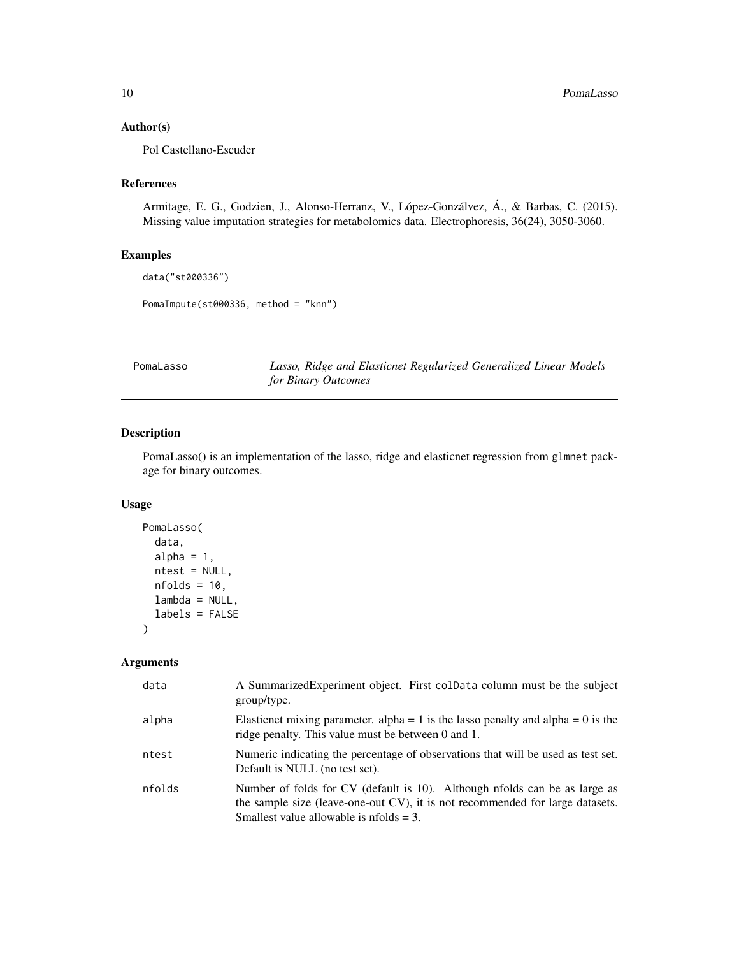#### <span id="page-9-0"></span>Author(s)

Pol Castellano-Escuder

#### References

Armitage, E. G., Godzien, J., Alonso-Herranz, V., López-Gonzálvez, Á., & Barbas, C. (2015). Missing value imputation strategies for metabolomics data. Electrophoresis, 36(24), 3050-3060.

#### Examples

```
data("st000336")
```
PomaImpute(st000336, method = "knn")

PomaLasso *Lasso, Ridge and Elasticnet Regularized Generalized Linear Models for Binary Outcomes*

#### Description

PomaLasso() is an implementation of the lasso, ridge and elasticnet regression from glmnet package for binary outcomes.

#### Usage

```
PomaLasso(
  data,
  alpha = 1,
 ntest = NULL,
 nfolds = 10,
 lambda = NULL,labels = FALSE
)
```

| data   | A SummarizedExperiment object. First colData column must be the subject<br>group/type.                                                                                                                              |
|--------|---------------------------------------------------------------------------------------------------------------------------------------------------------------------------------------------------------------------|
| alpha  | Elasticnet mixing parameter. alpha = 1 is the lasso penalty and alpha = 0 is the<br>ridge penalty. This value must be between 0 and 1.                                                                              |
| ntest  | Numeric indicating the percentage of observations that will be used as test set.<br>Default is NULL (no test set).                                                                                                  |
| nfolds | Number of folds for CV (default is 10). Although nfolds can be as large as<br>the sample size (leave-one-out CV), it is not recommended for large datasets.<br>Smallest value allowable is $n_{\text{folds}} = 3$ . |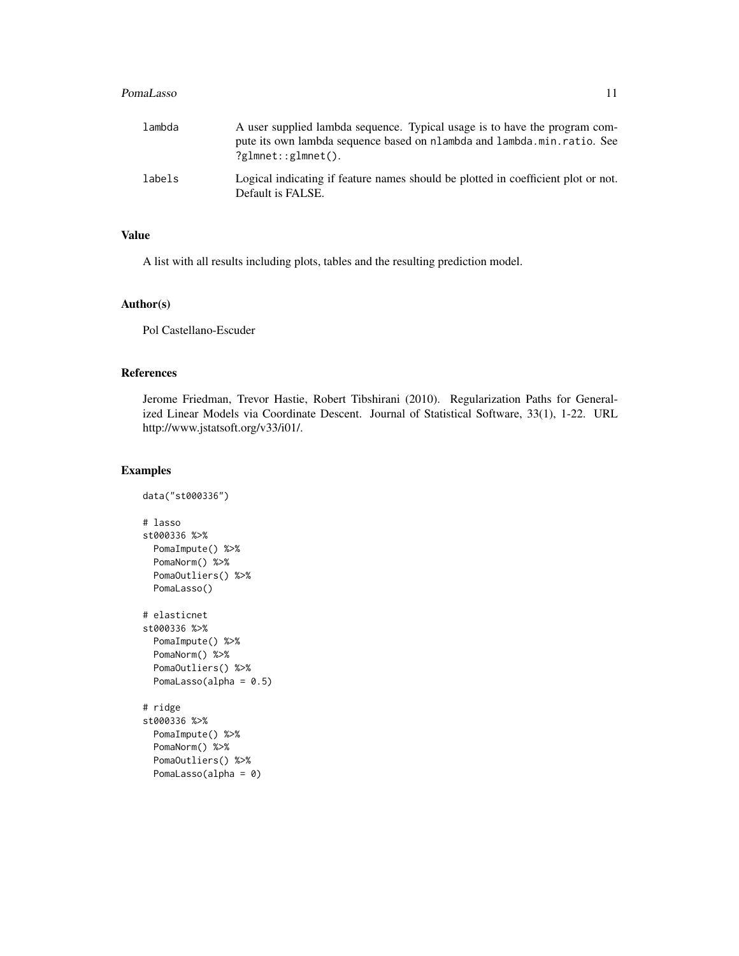#### PomaLasso 11

| lambda | A user supplied lambda sequence. Typical usage is to have the program com-<br>pute its own lambda sequence based on nlambda and lambda min. ratio. See<br>$?$ glmnet::glmnet(). |
|--------|---------------------------------------------------------------------------------------------------------------------------------------------------------------------------------|
| labels | Logical indicating if feature names should be plotted in coefficient plot or not.<br>Default is FALSE.                                                                          |

#### Value

A list with all results including plots, tables and the resulting prediction model.

#### Author(s)

Pol Castellano-Escuder

#### References

Jerome Friedman, Trevor Hastie, Robert Tibshirani (2010). Regularization Paths for Generalized Linear Models via Coordinate Descent. Journal of Statistical Software, 33(1), 1-22. URL http://www.jstatsoft.org/v33/i01/.

#### Examples

```
data("st000336")
# lasso
st000336 %>%
 PomaImpute() %>%
 PomaNorm() %>%
 PomaOutliers() %>%
 PomaLasso()
# elasticnet
st000336 %>%
 PomaImpute() %>%
 PomaNorm() %>%
 PomaOutliers() %>%
 PomaLasso(alpha = 0.5)
# ridge
st000336 %>%
 PomaImpute() %>%
 PomaNorm() %>%
 PomaOutliers() %>%
 PomaLasso(alpha = 0)
```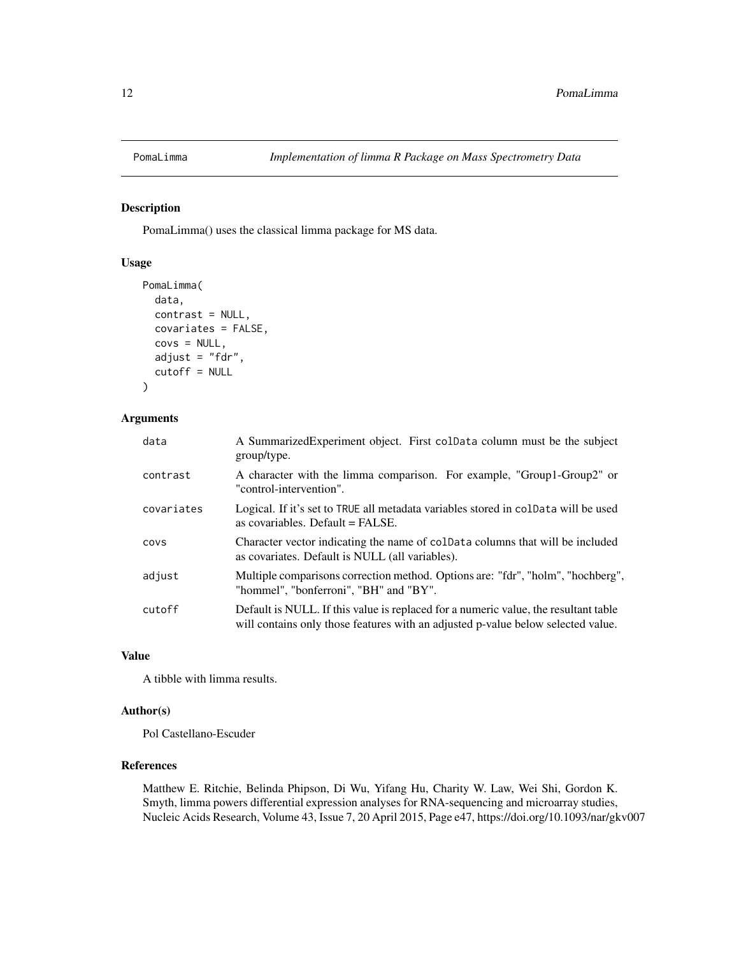<span id="page-11-0"></span>

#### Description

PomaLimma() uses the classical limma package for MS data.

#### Usage

```
PomaLimma(
  data,
  contrast = NULL,
  covariates = FALSE,
  covs = NULL,adjust = "fdr",
  cutoff = NULL
\mathcal{L}
```
#### Arguments

| data       | A SummarizedExperiment object. First colData column must be the subject<br>group/type.                                                                                  |
|------------|-------------------------------------------------------------------------------------------------------------------------------------------------------------------------|
| contrast   | A character with the limma comparison. For example, "Group1-Group2" or<br>"control-intervention".                                                                       |
| covariates | Logical. If it's set to TRUE all metadata variables stored in coldata will be used<br>as covariables. Default $=$ FALSE.                                                |
| covs       | Character vector indicating the name of coldata columns that will be included<br>as covariates. Default is NULL (all variables).                                        |
| adjust     | Multiple comparisons correction method. Options are: "fdr", "holm", "hochberg",<br>"hommel", "bonferroni", "BH" and "BY".                                               |
| cutoff     | Default is NULL. If this value is replaced for a numeric value, the resultant table<br>will contains only those features with an adjusted p-value below selected value. |

#### Value

A tibble with limma results.

#### Author(s)

Pol Castellano-Escuder

#### References

Matthew E. Ritchie, Belinda Phipson, Di Wu, Yifang Hu, Charity W. Law, Wei Shi, Gordon K. Smyth, limma powers differential expression analyses for RNA-sequencing and microarray studies, Nucleic Acids Research, Volume 43, Issue 7, 20 April 2015, Page e47, https://doi.org/10.1093/nar/gkv007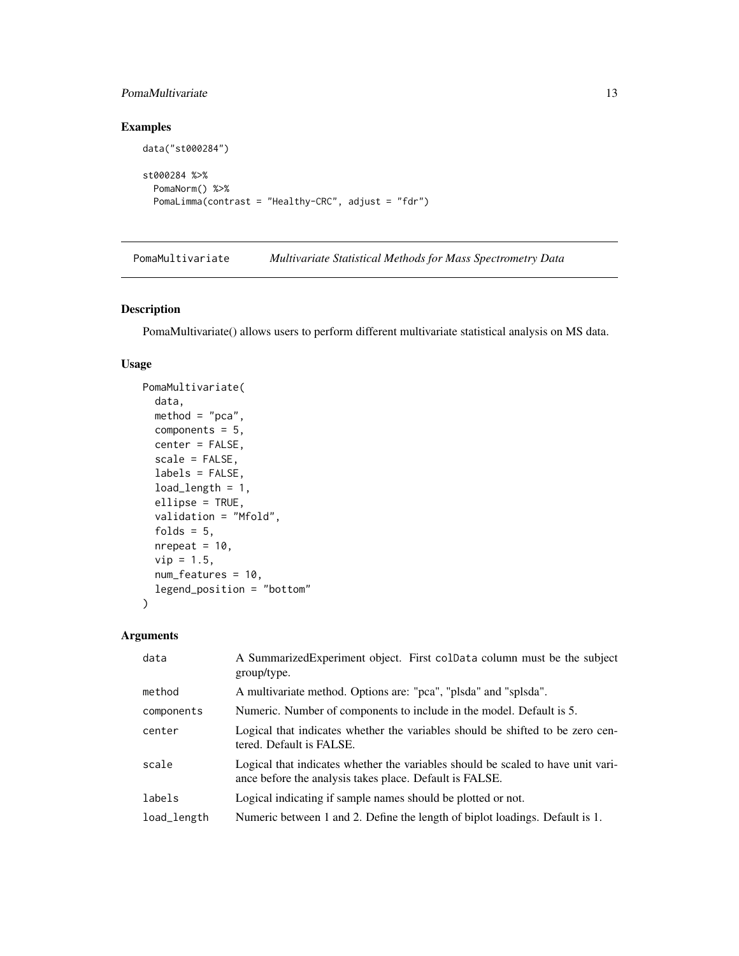#### <span id="page-12-0"></span>PomaMultivariate 13

#### Examples

```
data("st000284")
st000284 %>%
 PomaNorm() %>%
 PomaLimma(contrast = "Healthy-CRC", adjust = "fdr")
```
PomaMultivariate *Multivariate Statistical Methods for Mass Spectrometry Data*

#### Description

PomaMultivariate() allows users to perform different multivariate statistical analysis on MS data.

#### Usage

```
PomaMultivariate(
  data,
 method = "pca",components = 5,
  center = FALSE,
  scale = FALSE,
  labels = FALSE,
  load_length = 1,ellipse = TRUE,
  validation = "Mfold",
  folds = 5,
  nrepeat = 10,
  vip = 1.5,
  num_features = 10,
  legend_position = "bottom"
)
```

| data        | A Summarized Experiment object. First coldata column must be the subject<br>group/type.                                                     |
|-------------|---------------------------------------------------------------------------------------------------------------------------------------------|
| method      | A multivariate method. Options are: "pca", "plsda" and "splsda".                                                                            |
| components  | Numeric. Number of components to include in the model. Default is 5.                                                                        |
| center      | Logical that indicates whether the variables should be shifted to be zero cen-<br>tered. Default is FALSE.                                  |
| scale       | Logical that indicates whether the variables should be scaled to have unit vari-<br>ance before the analysis takes place. Default is FALSE. |
| labels      | Logical indicating if sample names should be plotted or not.                                                                                |
| load_length | Numeric between 1 and 2. Define the length of biplot loadings. Default is 1.                                                                |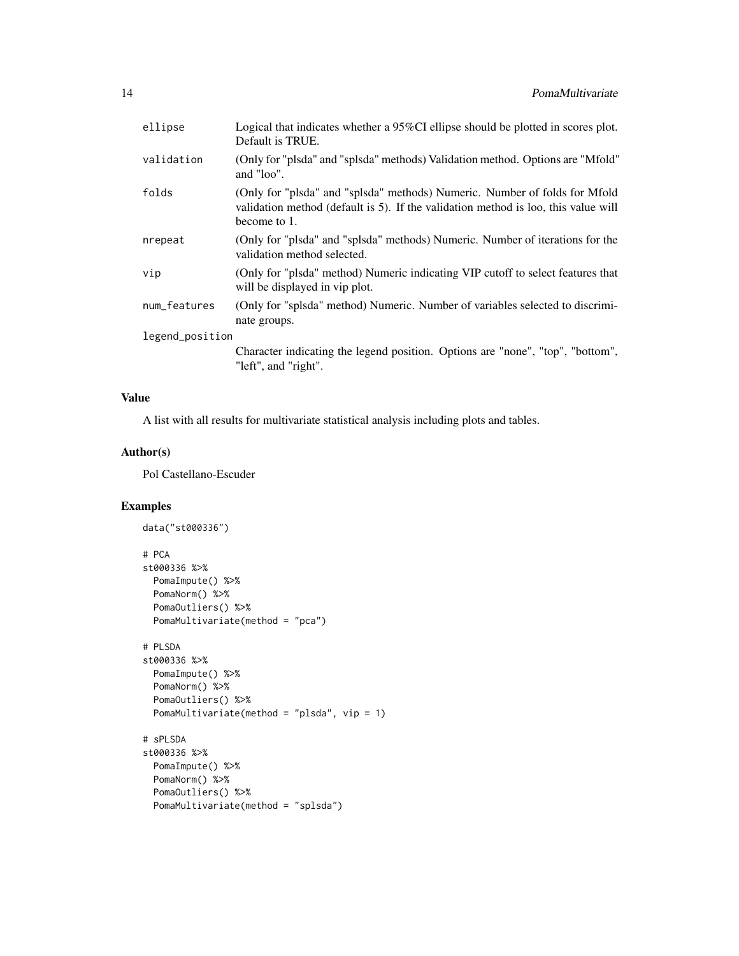| ellipse         | Logical that indicates whether a 95%CI ellipse should be plotted in scores plot.<br>Default is TRUE.                                                                             |
|-----------------|----------------------------------------------------------------------------------------------------------------------------------------------------------------------------------|
| validation      | (Only for "plsda" and "splsda" methods) Validation method. Options are "Mfold"<br>and "loo".                                                                                     |
| folds           | (Only for "plsda" and "splsda" methods) Numeric. Number of folds for Mfold<br>validation method (default is 5). If the validation method is loo, this value will<br>become to 1. |
| nrepeat         | (Only for "plsda" and "splsda" methods) Numeric. Number of iterations for the<br>validation method selected.                                                                     |
| vip             | (Only for "plsda" method) Numeric indicating VIP cutoff to select features that<br>will be displayed in vip plot.                                                                |
| num_features    | (Only for "splsda" method) Numeric. Number of variables selected to discrimi-<br>nate groups.                                                                                    |
| legend_position |                                                                                                                                                                                  |
|                 | Character indicating the legend position. Options are "none", "top", "bottom",<br>"left", and "right".                                                                           |

#### Value

A list with all results for multivariate statistical analysis including plots and tables.

#### Author(s)

Pol Castellano-Escuder

#### Examples

```
data("st000336")
# PCA
st000336 %>%
 PomaImpute() %>%
 PomaNorm() %>%
  PomaOutliers() %>%
  PomaMultivariate(method = "pca")
# PLSDA
st000336 %>%
  PomaImpute() %>%
  PomaNorm() %>%
  PomaOutliers() %>%
  PomaMultivariate(method = "plsda", vip = 1)
# sPLSDA
st000336 %>%
  PomaImpute() %>%
  PomaNorm() %>%
  PomaOutliers() %>%
  PomaMultivariate(method = "splsda")
```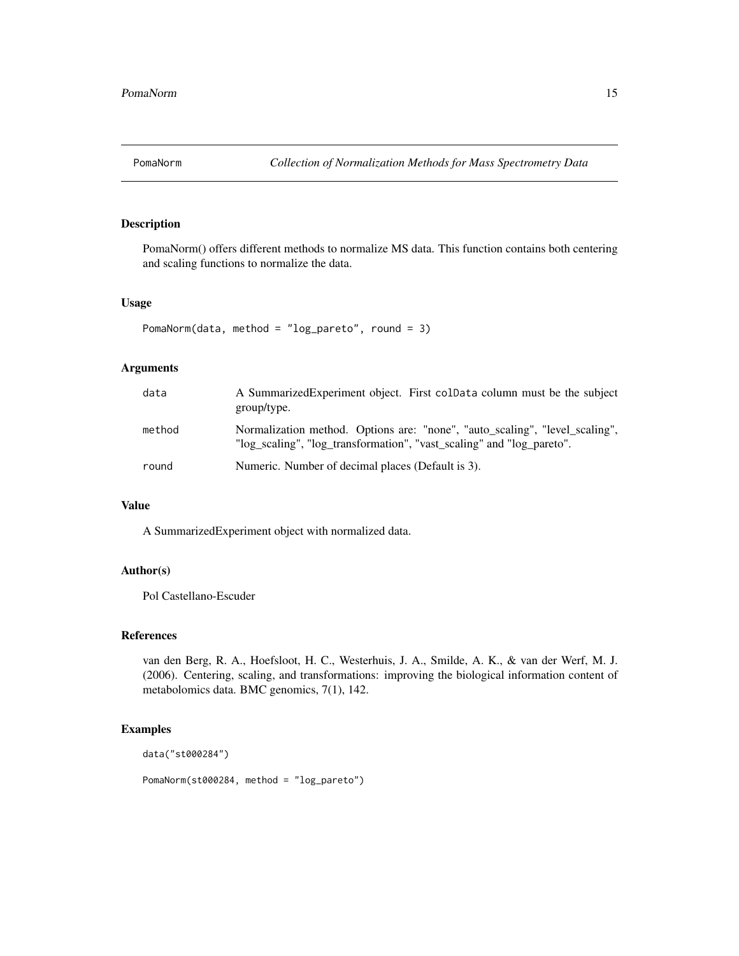<span id="page-14-0"></span>

#### Description

PomaNorm() offers different methods to normalize MS data. This function contains both centering and scaling functions to normalize the data.

#### Usage

```
PomaNorm(data, method = "log_pareto", round = 3)
```
#### Arguments

| data   | A Summarized Experiment object. First coldata column must be the subject<br>group/type.                                                              |
|--------|------------------------------------------------------------------------------------------------------------------------------------------------------|
| method | Normalization method. Options are: "none", "auto_scaling", "level_scaling",<br>"log scaling", "log transformation", "vast scaling" and "log pareto". |
| round  | Numeric. Number of decimal places (Default is 3).                                                                                                    |

#### Value

A SummarizedExperiment object with normalized data.

#### Author(s)

Pol Castellano-Escuder

#### References

van den Berg, R. A., Hoefsloot, H. C., Westerhuis, J. A., Smilde, A. K., & van der Werf, M. J. (2006). Centering, scaling, and transformations: improving the biological information content of metabolomics data. BMC genomics, 7(1), 142.

#### Examples

data("st000284")

PomaNorm(st000284, method = "log\_pareto")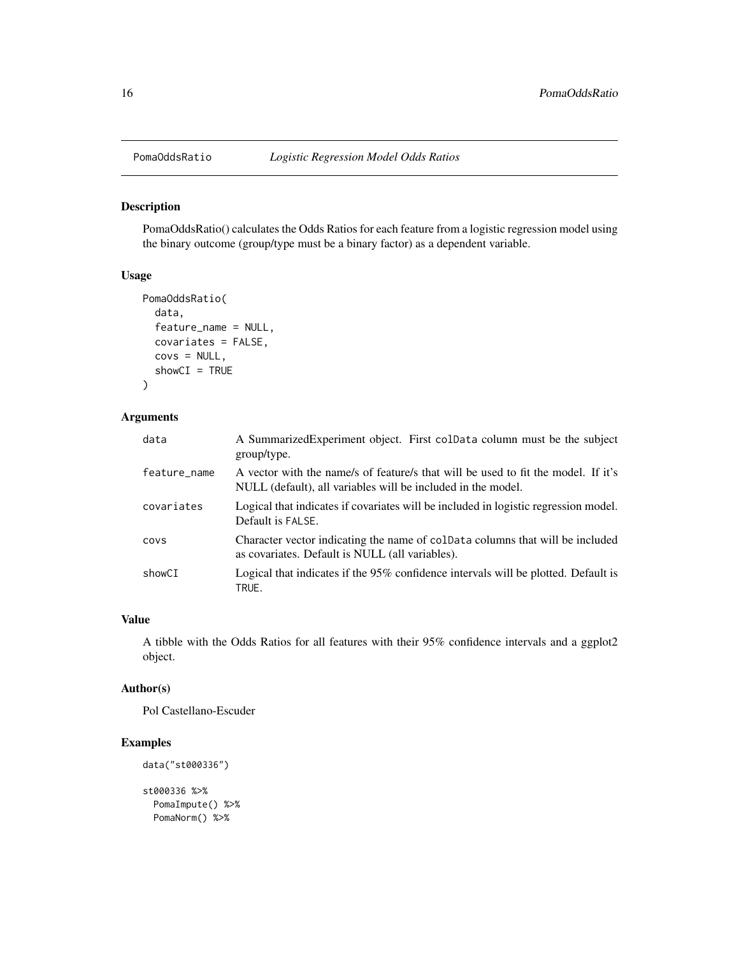<span id="page-15-0"></span>

#### Description

PomaOddsRatio() calculates the Odds Ratios for each feature from a logistic regression model using the binary outcome (group/type must be a binary factor) as a dependent variable.

#### Usage

```
PomaOddsRatio(
  data,
  feature_name = NULL,
 covariates = FALSE,
  covs = NULL,showCI = TRUE\mathcal{L}
```
#### Arguments

| data         | A Summarized Experiment object. First colData column must be the subject<br>group/type.                                                           |
|--------------|---------------------------------------------------------------------------------------------------------------------------------------------------|
| feature_name | A vector with the name/s of feature/s that will be used to fit the model. If it's<br>NULL (default), all variables will be included in the model. |
| covariates   | Logical that indicates if covariates will be included in logistic regression model.<br>Default is FALSE.                                          |
| COVS         | Character vector indicating the name of coldata columns that will be included<br>as covariates. Default is NULL (all variables).                  |
| showCI       | Logical that indicates if the 95% confidence intervals will be plotted. Default is<br>TRUE.                                                       |

#### Value

A tibble with the Odds Ratios for all features with their 95% confidence intervals and a ggplot2 object.

#### Author(s)

Pol Castellano-Escuder

#### Examples

```
data("st000336")
```

```
st000336 %>%
 PomaImpute() %>%
 PomaNorm() %>%
```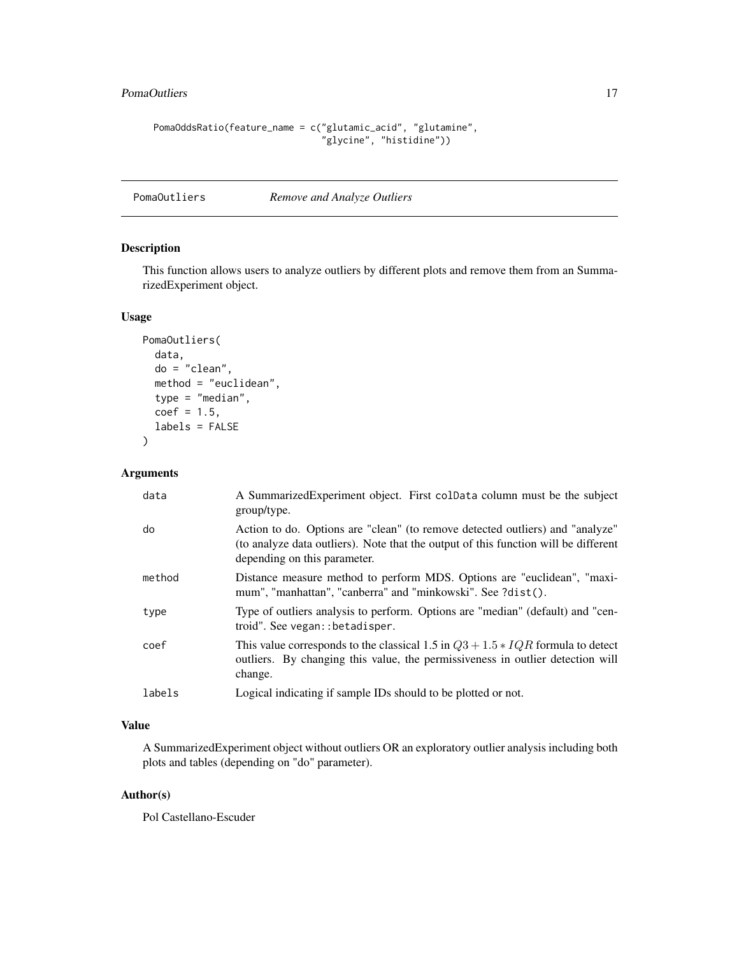#### <span id="page-16-0"></span>PomaOutliers 17

```
PomaOddsRatio(feature_name = c("glutamic_acid", "glutamine",
                               "glycine", "histidine"))
```
#### PomaOutliers *Remove and Analyze Outliers*

#### Description

This function allows users to analyze outliers by different plots and remove them from an SummarizedExperiment object.

#### Usage

```
PomaOutliers(
  data,
  do = "clean",
 method = "euclidean",
  type = "median",
 coef = 1.5,
  labels = FALSE
)
```
#### Arguments

| data   | A Summarized Experiment object. First colData column must be the subject<br>group/type.                                                                                                              |
|--------|------------------------------------------------------------------------------------------------------------------------------------------------------------------------------------------------------|
| do     | Action to do. Options are "clean" (to remove detected outliers) and "analyze"<br>(to analyze data outliers). Note that the output of this function will be different<br>depending on this parameter. |
| method | Distance measure method to perform MDS. Options are "euclidean", "maxi-<br>mum", "manhattan", "canberra" and "minkowski". See ?dist().                                                               |
| type   | Type of outliers analysis to perform. Options are "median" (default) and "cen-<br>troid". See vegan:: betadisper.                                                                                    |
| coef   | This value corresponds to the classical 1.5 in $Q3 + 1.5 * IQR$ formula to detect<br>outliers. By changing this value, the permissiveness in outlier detection will<br>change.                       |
| labels | Logical indicating if sample IDs should to be plotted or not.                                                                                                                                        |

#### Value

A SummarizedExperiment object without outliers OR an exploratory outlier analysis including both plots and tables (depending on "do" parameter).

#### Author(s)

Pol Castellano-Escuder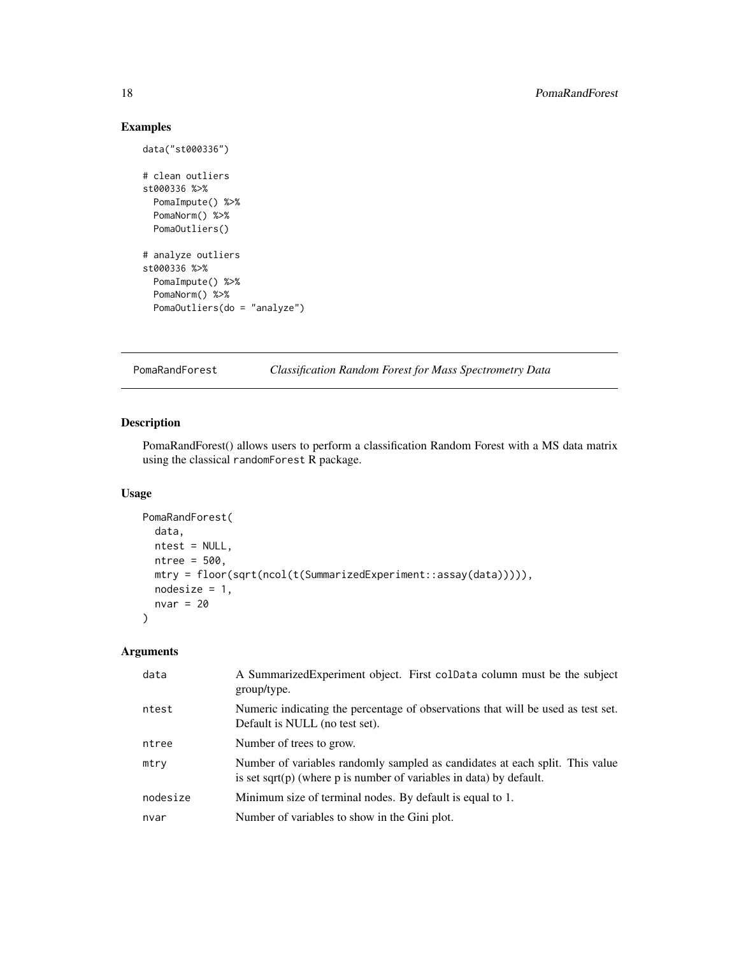#### Examples

data("st000336")

```
# clean outliers
st000336 %>%
  PomaImpute() %>%
  PomaNorm() %>%
  PomaOutliers()
# analyze outliers
st000336 %>%
  PomaImpute() %>%
  PomaNorm() %>%
  PomaOutliers(do = "analyze")
```
PomaRandForest *Classification Random Forest for Mass Spectrometry Data*

#### Description

PomaRandForest() allows users to perform a classification Random Forest with a MS data matrix using the classical randomForest R package.

#### Usage

```
PomaRandForest(
 data,
 ntest = NULL,
 ntree = 500,
 mtry = floor(sqrt(ncol(t(SummarizedExperiment::assay(data))))),
 nodesize = 1,
 nvar = 20)
```

| data     | A SummarizedExperiment object. First colData column must be the subject<br>group/type.                                                                 |
|----------|--------------------------------------------------------------------------------------------------------------------------------------------------------|
| ntest    | Numeric indicating the percentage of observations that will be used as test set.<br>Default is NULL (no test set).                                     |
| ntree    | Number of trees to grow.                                                                                                                               |
| mtry     | Number of variables randomly sampled as candidates at each split. This value<br>is set sqrt $(p)$ (where p is number of variables in data) by default. |
| nodesize | Minimum size of terminal nodes. By default is equal to 1.                                                                                              |
| nvar     | Number of variables to show in the Gini plot.                                                                                                          |

<span id="page-17-0"></span>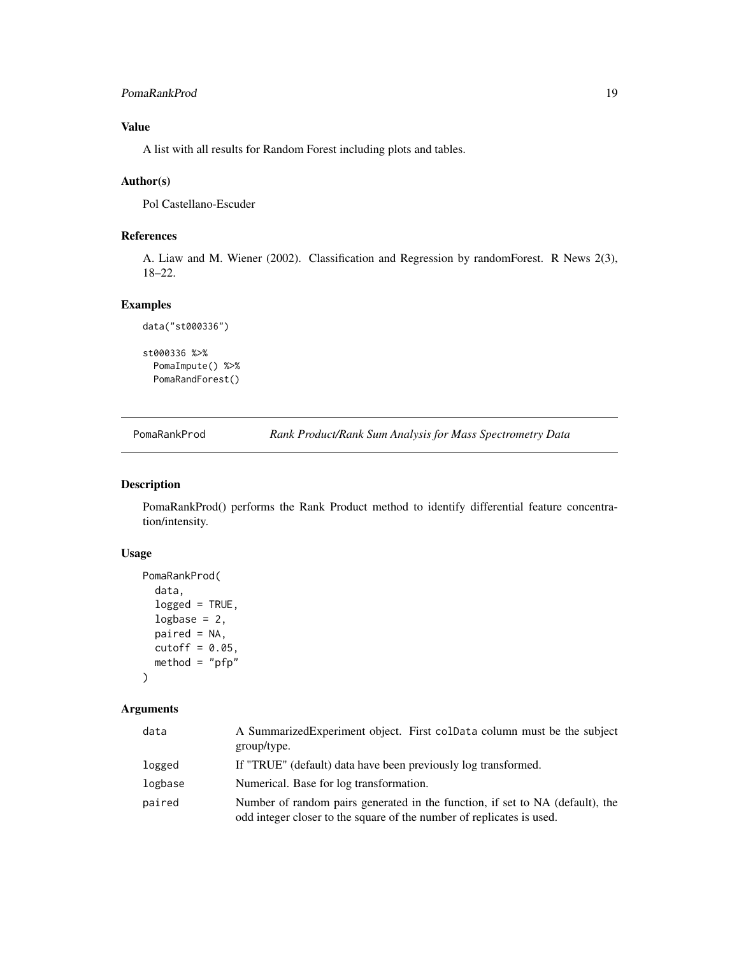#### <span id="page-18-0"></span>PomaRankProd 19

#### Value

A list with all results for Random Forest including plots and tables.

#### Author(s)

Pol Castellano-Escuder

#### References

A. Liaw and M. Wiener (2002). Classification and Regression by randomForest. R News 2(3), 18–22.

#### Examples

```
data("st000336")
st000336 %>%
 PomaImpute() %>%
```
PomaRandForest()

PomaRankProd *Rank Product/Rank Sum Analysis for Mass Spectrometry Data*

#### Description

PomaRankProd() performs the Rank Product method to identify differential feature concentration/intensity.

#### Usage

```
PomaRankProd(
  data,
  logged = TRUE,
  logbase = 2,
 paired = NA,
 cutoff = 0.05,
  method = "pfp")
```

| data    | A Summarized Experiment object. First colData column must be the subject<br>group/type.                                                                |
|---------|--------------------------------------------------------------------------------------------------------------------------------------------------------|
| logged  | If "TRUE" (default) data have been previously log transformed.                                                                                         |
| logbase | Numerical. Base for log transformation.                                                                                                                |
| paired  | Number of random pairs generated in the function, if set to NA (default), the<br>odd integer closer to the square of the number of replicates is used. |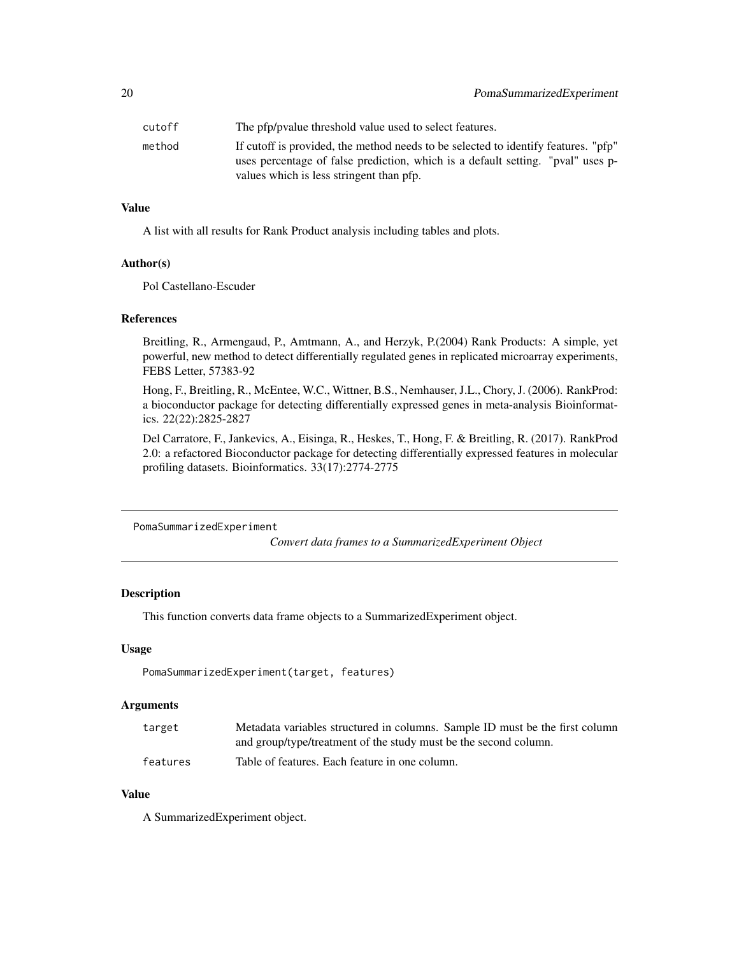<span id="page-19-0"></span>

| cutoff | The pfp/pyalue threshold value used to select features.                                                                                                               |
|--------|-----------------------------------------------------------------------------------------------------------------------------------------------------------------------|
| method | If cutoff is provided, the method needs to be selected to identify features. "pfp"<br>uses percentage of false prediction, which is a default setting. "pval" uses p- |
|        | values which is less stringent than pfp.                                                                                                                              |

#### Value

A list with all results for Rank Product analysis including tables and plots.

#### Author(s)

Pol Castellano-Escuder

#### References

Breitling, R., Armengaud, P., Amtmann, A., and Herzyk, P.(2004) Rank Products: A simple, yet powerful, new method to detect differentially regulated genes in replicated microarray experiments, FEBS Letter, 57383-92

Hong, F., Breitling, R., McEntee, W.C., Wittner, B.S., Nemhauser, J.L., Chory, J. (2006). RankProd: a bioconductor package for detecting differentially expressed genes in meta-analysis Bioinformatics. 22(22):2825-2827

Del Carratore, F., Jankevics, A., Eisinga, R., Heskes, T., Hong, F. & Breitling, R. (2017). RankProd 2.0: a refactored Bioconductor package for detecting differentially expressed features in molecular profiling datasets. Bioinformatics. 33(17):2774-2775

PomaSummarizedExperiment

*Convert data frames to a SummarizedExperiment Object*

#### Description

This function converts data frame objects to a SummarizedExperiment object.

#### Usage

PomaSummarizedExperiment(target, features)

#### **Arguments**

| target   | Metadata variables structured in columns. Sample ID must be the first column |
|----------|------------------------------------------------------------------------------|
|          | and group/type/treatment of the study must be the second column.             |
| features | Table of features. Each feature in one column.                               |

#### Value

A SummarizedExperiment object.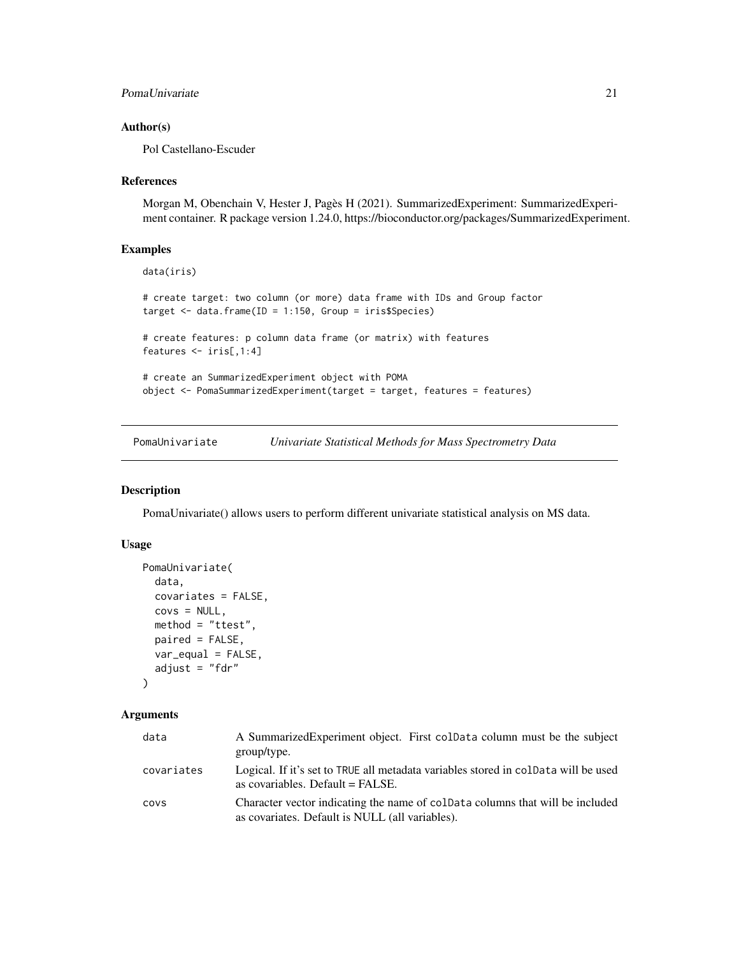#### <span id="page-20-0"></span>PomaUnivariate 21

#### Author(s)

Pol Castellano-Escuder

#### References

Morgan M, Obenchain V, Hester J, Pagès H (2021). SummarizedExperiment: SummarizedExperiment container. R package version 1.24.0, https://bioconductor.org/packages/SummarizedExperiment.

#### Examples

```
data(iris)
# create target: two column (or more) data frame with IDs and Group factor
target <- data.frame(ID = 1:150, Group = iris$Species)
# create features: p column data frame (or matrix) with features
features <- iris[,1:4]
# create an SummarizedExperiment object with POMA
object <- PomaSummarizedExperiment(target = target, features = features)
```
PomaUnivariate *Univariate Statistical Methods for Mass Spectrometry Data*

#### Description

PomaUnivariate() allows users to perform different univariate statistical analysis on MS data.

#### Usage

```
PomaUnivariate(
  data,
  covariates = FALSE,
  covs = NULL,method = "ttest",paired = FALSE,
  var_equal = FALSE,
  adjust = "fdr"\lambda
```

| data       | A Summarized Experiment object. First coldata column must be the subject<br>group/type.                                          |
|------------|----------------------------------------------------------------------------------------------------------------------------------|
| covariates | Logical. If it's set to TRUE all metadata variables stored in coldata will be used<br>as covariables. Default = FALSE.           |
| covs       | Character vector indicating the name of coldata columns that will be included<br>as covariates. Default is NULL (all variables). |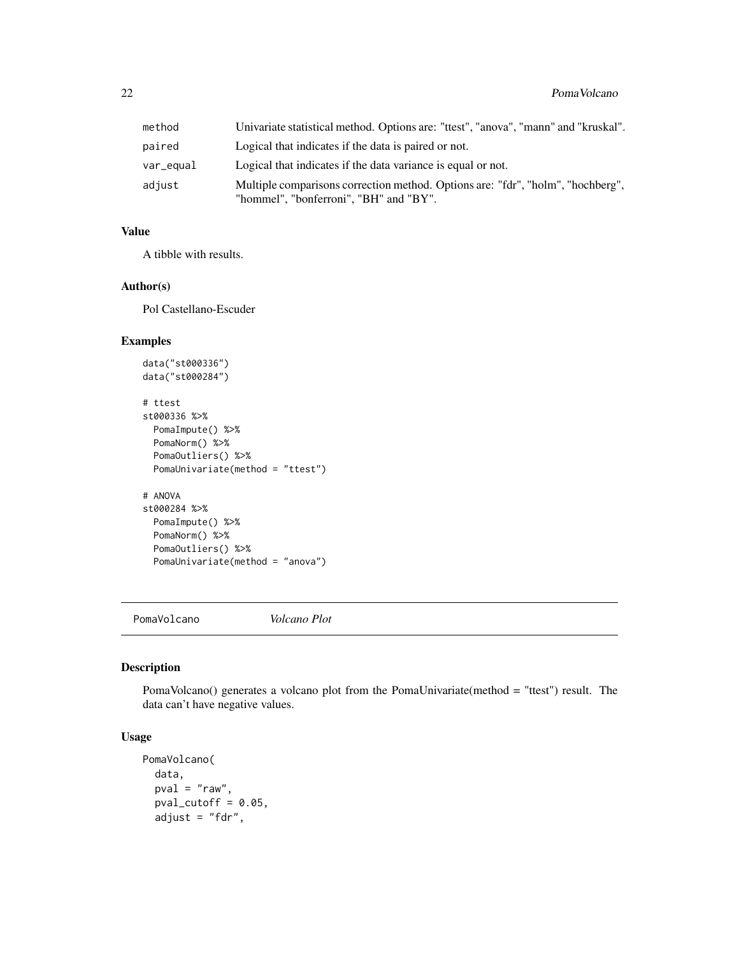<span id="page-21-0"></span>

| method    | Univariate statistical method. Options are: "ttest", "anova", "mann" and "kruskal".                                       |
|-----------|---------------------------------------------------------------------------------------------------------------------------|
| paired    | Logical that indicates if the data is paired or not.                                                                      |
| var_equal | Logical that indicates if the data variance is equal or not.                                                              |
| adjust    | Multiple comparisons correction method. Options are: "fdr", "holm", "hochberg",<br>"hommel", "bonferroni", "BH" and "BY". |

#### Value

A tibble with results.

#### Author(s)

Pol Castellano-Escuder

#### Examples

```
data("st000336")
data("st000284")
# ttest
st000336 %>%
 PomaImpute() %>%
 PomaNorm() %>%
 PomaOutliers() %>%
 PomaUnivariate(method = "ttest")
# ANOVA
st000284 %>%
 PomaImpute() %>%
 PomaNorm() %>%
 PomaOutliers() %>%
 PomaUnivariate(method = "anova")
```
PomaVolcano *Volcano Plot*

#### Description

PomaVolcano() generates a volcano plot from the PomaUnivariate(method = "ttest") result. The data can't have negative values.

#### Usage

```
PomaVolcano(
  data,
 pval = "raw",
 pval_cutoff = 0.05,
  adjust = "fdr",
```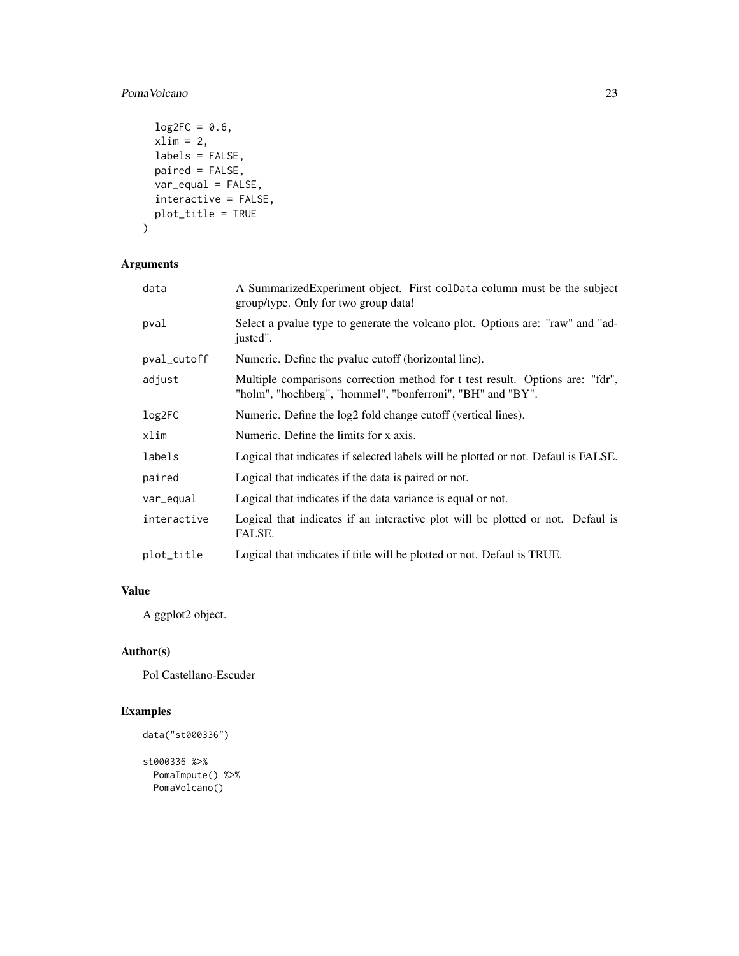#### PomaVolcano 23

```
log2FC = 0.6,
 xlim = 2,
 labels = FALSE,
 paired = FALSE,
 var_equal = FALSE,
 interactive = FALSE,
 plot_title = TRUE
\mathcal{L}
```
#### Arguments

| data        | A Summarized Experiment object. First coldata column must be the subject<br>group/type. Only for two group data!                            |
|-------------|---------------------------------------------------------------------------------------------------------------------------------------------|
| pval        | Select a pvalue type to generate the volcano plot. Options are: "raw" and "ad-<br>justed".                                                  |
| pval_cutoff | Numeric. Define the pvalue cutoff (horizontal line).                                                                                        |
| adjust      | Multiple comparisons correction method for t test result. Options are: "fdr",<br>"holm", "hochberg", "hommel", "bonferroni", "BH" and "BY". |
| log2FC      | Numeric. Define the log2 fold change cutoff (vertical lines).                                                                               |
| xlim        | Numeric. Define the limits for x axis.                                                                                                      |
| labels      | Logical that indicates if selected labels will be plotted or not. Defaul is FALSE.                                                          |
| paired      | Logical that indicates if the data is paired or not.                                                                                        |
| var_equal   | Logical that indicates if the data variance is equal or not.                                                                                |
| interactive | Logical that indicates if an interactive plot will be plotted or not. Defaul is<br>FALSE.                                                   |
| plot_title  | Logical that indicates if title will be plotted or not. Defaul is TRUE.                                                                     |

#### Value

A ggplot2 object.

#### Author(s)

Pol Castellano-Escuder

#### Examples

```
data("st000336")
```

```
st000336 %>%
 PomaImpute() %>%
 PomaVolcano()
```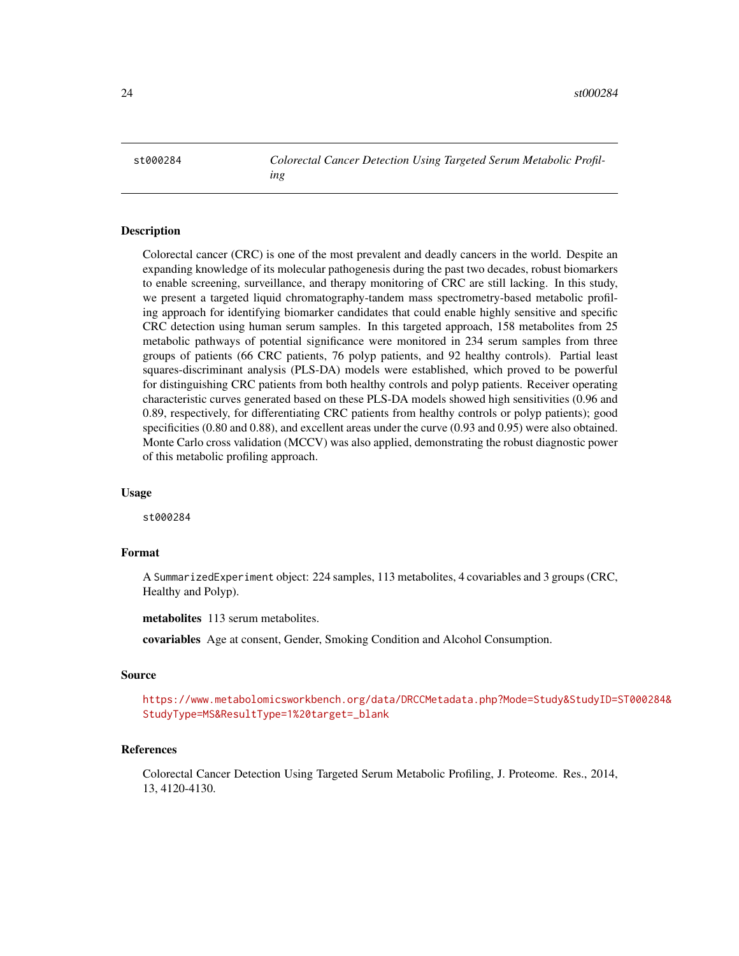<span id="page-23-0"></span>st000284 *Colorectal Cancer Detection Using Targeted Serum Metabolic Profiling*

#### Description

Colorectal cancer (CRC) is one of the most prevalent and deadly cancers in the world. Despite an expanding knowledge of its molecular pathogenesis during the past two decades, robust biomarkers to enable screening, surveillance, and therapy monitoring of CRC are still lacking. In this study, we present a targeted liquid chromatography-tandem mass spectrometry-based metabolic profiling approach for identifying biomarker candidates that could enable highly sensitive and specific CRC detection using human serum samples. In this targeted approach, 158 metabolites from 25 metabolic pathways of potential significance were monitored in 234 serum samples from three groups of patients (66 CRC patients, 76 polyp patients, and 92 healthy controls). Partial least squares-discriminant analysis (PLS-DA) models were established, which proved to be powerful for distinguishing CRC patients from both healthy controls and polyp patients. Receiver operating characteristic curves generated based on these PLS-DA models showed high sensitivities (0.96 and 0.89, respectively, for differentiating CRC patients from healthy controls or polyp patients); good specificities (0.80 and 0.88), and excellent areas under the curve (0.93 and 0.95) were also obtained. Monte Carlo cross validation (MCCV) was also applied, demonstrating the robust diagnostic power of this metabolic profiling approach.

#### Usage

st000284

#### Format

A SummarizedExperiment object: 224 samples, 113 metabolites, 4 covariables and 3 groups (CRC, Healthy and Polyp).

metabolites 113 serum metabolites.

covariables Age at consent, Gender, Smoking Condition and Alcohol Consumption.

#### Source

[https://www.metabolomicsworkbench.org/data/DRCCMetadata.php?Mode=Study&StudyID=S](https://www.metabolomicsworkbench.org/data/DRCCMetadata.php?Mode=Study&StudyID=ST000284&StudyType=MS&ResultType=1%20target=_blank)T000284& [StudyType=MS&ResultType=1%20target=\\_blank](https://www.metabolomicsworkbench.org/data/DRCCMetadata.php?Mode=Study&StudyID=ST000284&StudyType=MS&ResultType=1%20target=_blank)

#### References

Colorectal Cancer Detection Using Targeted Serum Metabolic Profiling, J. Proteome. Res., 2014, 13, 4120-4130.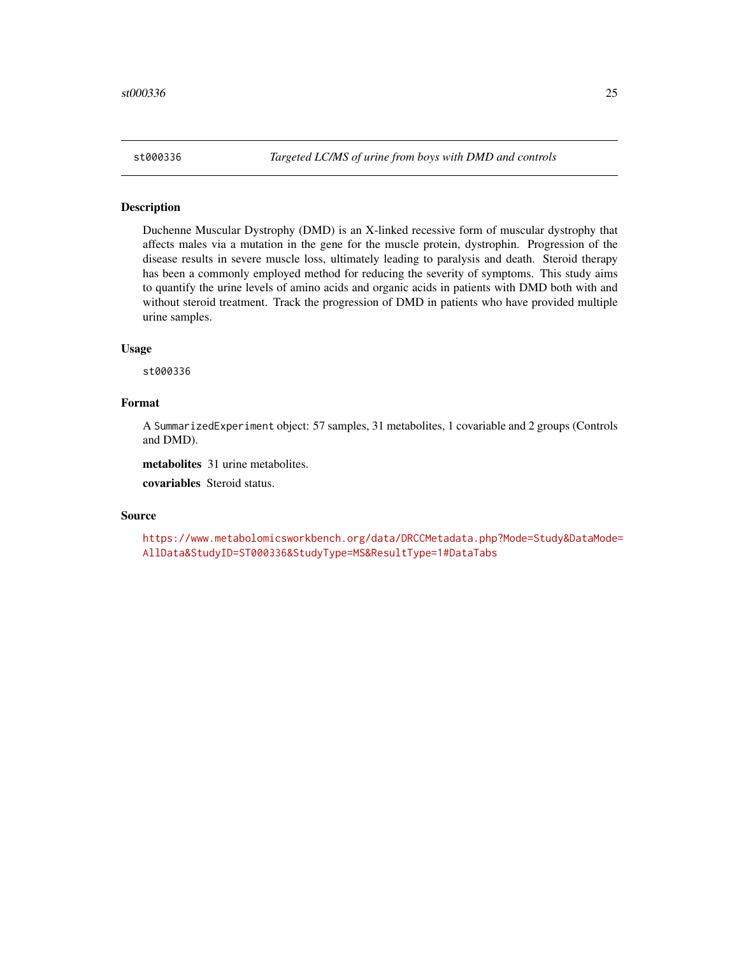<span id="page-24-0"></span>

#### Description

Duchenne Muscular Dystrophy (DMD) is an X-linked recessive form of muscular dystrophy that affects males via a mutation in the gene for the muscle protein, dystrophin. Progression of the disease results in severe muscle loss, ultimately leading to paralysis and death. Steroid therapy has been a commonly employed method for reducing the severity of symptoms. This study aims to quantify the urine levels of amino acids and organic acids in patients with DMD both with and without steroid treatment. Track the progression of DMD in patients who have provided multiple urine samples.

#### Usage

st000336

#### Format

A SummarizedExperiment object: 57 samples, 31 metabolites, 1 covariable and 2 groups (Controls and DMD).

metabolites 31 urine metabolites.

covariables Steroid status.

#### Source

```
https://www.metabolomicsworkbench.org/data/DRCCMetadata.php?Mode=Study&DataMode=
AllData&StudyID=ST000336&StudyType=MS&ResultType=1#DataTabs
```